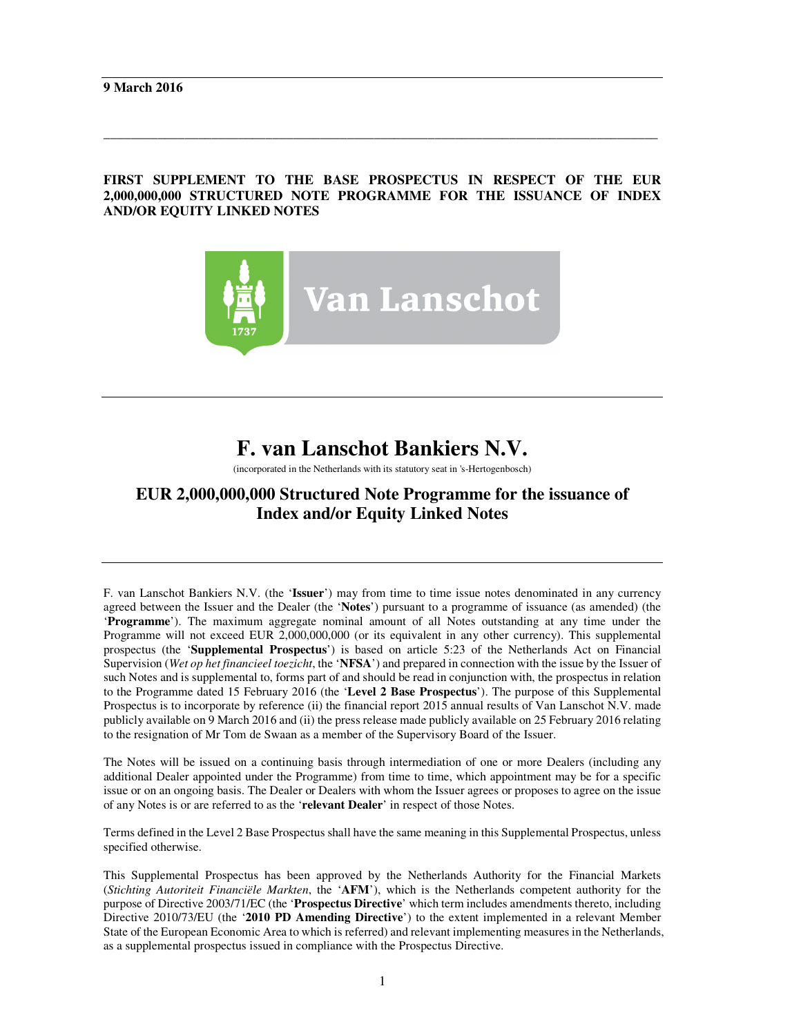### **FIRST SUPPLEMENT TO THE BASE PROSPECTUS IN RESPECT OF THE EUR 2,000,000,000 STRUCTURED NOTE PROGRAMME FOR THE ISSUANCE OF INDEX AND/OR EQUITY LINKED NOTES**

\_\_\_\_\_\_\_\_\_\_\_\_\_\_\_\_\_\_\_\_\_\_\_\_\_\_\_\_\_\_\_\_\_\_\_\_\_\_\_\_\_\_\_\_\_\_\_\_\_\_\_\_\_\_\_\_\_\_\_\_\_\_\_\_\_\_\_\_\_\_\_\_\_\_\_\_\_\_\_\_\_\_



# **F. van Lanschot Bankiers N.V.**

(incorporated in the Netherlands with its statutory seat in 's-Hertogenbosch)

## **EUR 2,000,000,000 Structured Note Programme for the issuance of Index and/or Equity Linked Notes**

F. van Lanschot Bankiers N.V. (the '**Issuer**') may from time to time issue notes denominated in any currency agreed between the Issuer and the Dealer (the '**Notes**') pursuant to a programme of issuance (as amended) (the '**Programme**'). The maximum aggregate nominal amount of all Notes outstanding at any time under the Programme will not exceed EUR 2,000,000,000 (or its equivalent in any other currency). This supplemental prospectus (the '**Supplemental Prospectus**') is based on article 5:23 of the Netherlands Act on Financial Supervision (*Wet op het financieel toezicht*, the '**NFSA**') and prepared in connection with the issue by the Issuer of such Notes and is supplemental to, forms part of and should be read in conjunction with, the prospectus in relation to the Programme dated 15 February 2016 (the '**Level 2 Base Prospectus**'). The purpose of this Supplemental Prospectus is to incorporate by reference (ii) the financial report 2015 annual results of Van Lanschot N.V. made publicly available on 9 March 2016 and (ii) the press release made publicly available on 25 February 2016 relating to the resignation of Mr Tom de Swaan as a member of the Supervisory Board of the Issuer.

The Notes will be issued on a continuing basis through intermediation of one or more Dealers (including any additional Dealer appointed under the Programme) from time to time, which appointment may be for a specific issue or on an ongoing basis. The Dealer or Dealers with whom the Issuer agrees or proposes to agree on the issue of any Notes is or are referred to as the '**relevant Dealer**' in respect of those Notes.

Terms defined in the Level 2 Base Prospectus shall have the same meaning in this Supplemental Prospectus, unless specified otherwise.

This Supplemental Prospectus has been approved by the Netherlands Authority for the Financial Markets (*Stichting Autoriteit Financiële Markten*, the '**AFM**'), which is the Netherlands competent authority for the purpose of Directive 2003/71/EC (the '**Prospectus Directive**' which term includes amendments thereto, including Directive 2010/73/EU (the '**2010 PD Amending Directive**') to the extent implemented in a relevant Member State of the European Economic Area to which is referred) and relevant implementing measures in the Netherlands, as a supplemental prospectus issued in compliance with the Prospectus Directive.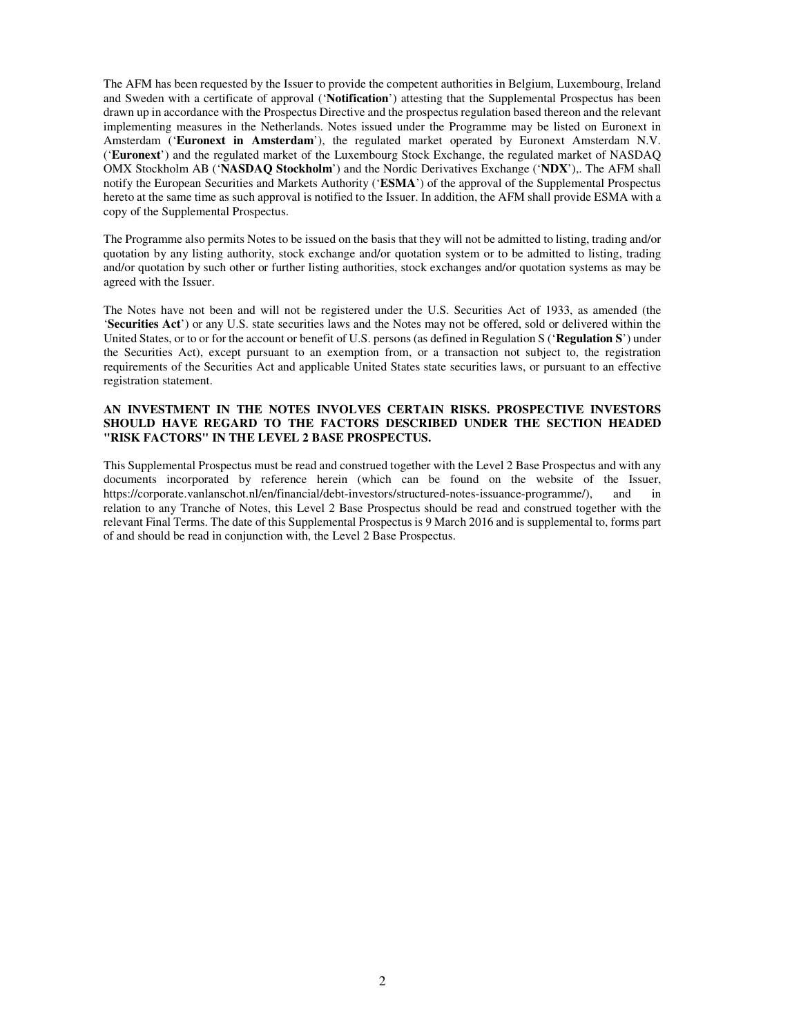The AFM has been requested by the Issuer to provide the competent authorities in Belgium, Luxembourg, Ireland and Sweden with a certificate of approval ('**Notification**') attesting that the Supplemental Prospectus has been drawn up in accordance with the Prospectus Directive and the prospectus regulation based thereon and the relevant implementing measures in the Netherlands. Notes issued under the Programme may be listed on Euronext in Amsterdam ('**Euronext in Amsterdam**'), the regulated market operated by Euronext Amsterdam N.V. ('**Euronext**') and the regulated market of the Luxembourg Stock Exchange, the regulated market of NASDAQ OMX Stockholm AB ('**NASDAQ Stockholm**') and the Nordic Derivatives Exchange ('**NDX**'),. The AFM shall notify the European Securities and Markets Authority ('**ESMA**') of the approval of the Supplemental Prospectus hereto at the same time as such approval is notified to the Issuer. In addition, the AFM shall provide ESMA with a copy of the Supplemental Prospectus.

The Programme also permits Notes to be issued on the basis that they will not be admitted to listing, trading and/or quotation by any listing authority, stock exchange and/or quotation system or to be admitted to listing, trading and/or quotation by such other or further listing authorities, stock exchanges and/or quotation systems as may be agreed with the Issuer.

The Notes have not been and will not be registered under the U.S. Securities Act of 1933, as amended (the '**Securities Act**') or any U.S. state securities laws and the Notes may not be offered, sold or delivered within the United States, or to or for the account or benefit of U.S. persons (as defined in Regulation S ('**Regulation S**') under the Securities Act), except pursuant to an exemption from, or a transaction not subject to, the registration requirements of the Securities Act and applicable United States state securities laws, or pursuant to an effective registration statement.

#### **AN INVESTMENT IN THE NOTES INVOLVES CERTAIN RISKS. PROSPECTIVE INVESTORS SHOULD HAVE REGARD TO THE FACTORS DESCRIBED UNDER THE SECTION HEADED "RISK FACTORS" IN THE LEVEL 2 BASE PROSPECTUS.**

This Supplemental Prospectus must be read and construed together with the Level 2 Base Prospectus and with any documents incorporated by reference herein (which can be found on the website of the Issuer, https://corporate.vanlanschot.nl/en/financial/debt-investors/structured-notes-issuance-programme/), and in relation to any Tranche of Notes, this Level 2 Base Prospectus should be read and construed together with the relevant Final Terms. The date of this Supplemental Prospectus is 9 March 2016 and is supplemental to, forms part of and should be read in conjunction with, the Level 2 Base Prospectus.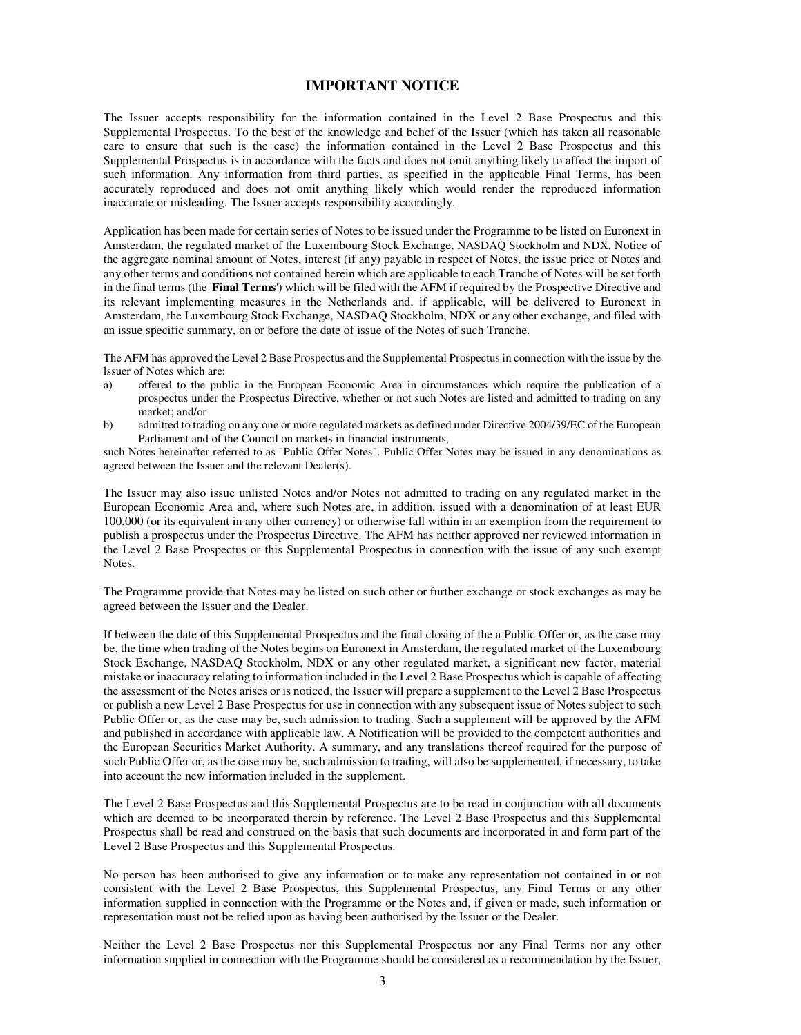#### **IMPORTANT NOTICE**

The Issuer accepts responsibility for the information contained in the Level 2 Base Prospectus and this Supplemental Prospectus. To the best of the knowledge and belief of the Issuer (which has taken all reasonable care to ensure that such is the case) the information contained in the Level 2 Base Prospectus and this Supplemental Prospectus is in accordance with the facts and does not omit anything likely to affect the import of such information. Any information from third parties, as specified in the applicable Final Terms, has been accurately reproduced and does not omit anything likely which would render the reproduced information inaccurate or misleading. The Issuer accepts responsibility accordingly.

Application has been made for certain series of Notes to be issued under the Programme to be listed on Euronext in Amsterdam, the regulated market of the Luxembourg Stock Exchange, NASDAQ Stockholm and NDX. Notice of the aggregate nominal amount of Notes, interest (if any) payable in respect of Notes, the issue price of Notes and any other terms and conditions not contained herein which are applicable to each Tranche of Notes will be set forth in the final terms (the '**Final Terms**') which will be filed with the AFM if required by the Prospective Directive and its relevant implementing measures in the Netherlands and, if applicable, will be delivered to Euronext in Amsterdam, the Luxembourg Stock Exchange, NASDAQ Stockholm, NDX or any other exchange, and filed with an issue specific summary, on or before the date of issue of the Notes of such Tranche.

The AFM has approved the Level 2 Base Prospectus and the Supplemental Prospectus in connection with the issue by the lssuer of Notes which are:

- a) offered to the public in the European Economic Area in circumstances which require the publication of a prospectus under the Prospectus Directive, whether or not such Notes are listed and admitted to trading on any market; and/or
- b) admitted to trading on any one or more regulated markets as defined under Directive 2004/39/EC of the European Parliament and of the Council on markets in financial instruments,

such Notes hereinafter referred to as "Public Offer Notes". Public Offer Notes may be issued in any denominations as agreed between the Issuer and the relevant Dealer(s).

The Issuer may also issue unlisted Notes and/or Notes not admitted to trading on any regulated market in the European Economic Area and, where such Notes are, in addition, issued with a denomination of at least EUR 100,000 (or its equivalent in any other currency) or otherwise fall within in an exemption from the requirement to publish a prospectus under the Prospectus Directive. The AFM has neither approved nor reviewed information in the Level 2 Base Prospectus or this Supplemental Prospectus in connection with the issue of any such exempt Notes.

The Programme provide that Notes may be listed on such other or further exchange or stock exchanges as may be agreed between the Issuer and the Dealer.

If between the date of this Supplemental Prospectus and the final closing of the a Public Offer or, as the case may be, the time when trading of the Notes begins on Euronext in Amsterdam, the regulated market of the Luxembourg Stock Exchange, NASDAQ Stockholm, NDX or any other regulated market, a significant new factor, material mistake or inaccuracy relating to information included in the Level 2 Base Prospectus which is capable of affecting the assessment of the Notes arises or is noticed, the Issuer will prepare a supplement to the Level 2 Base Prospectus or publish a new Level 2 Base Prospectus for use in connection with any subsequent issue of Notes subject to such Public Offer or, as the case may be, such admission to trading. Such a supplement will be approved by the AFM and published in accordance with applicable law. A Notification will be provided to the competent authorities and the European Securities Market Authority. A summary, and any translations thereof required for the purpose of such Public Offer or, as the case may be, such admission to trading, will also be supplemented, if necessary, to take into account the new information included in the supplement.

The Level 2 Base Prospectus and this Supplemental Prospectus are to be read in conjunction with all documents which are deemed to be incorporated therein by reference. The Level 2 Base Prospectus and this Supplemental Prospectus shall be read and construed on the basis that such documents are incorporated in and form part of the Level 2 Base Prospectus and this Supplemental Prospectus.

No person has been authorised to give any information or to make any representation not contained in or not consistent with the Level 2 Base Prospectus, this Supplemental Prospectus, any Final Terms or any other information supplied in connection with the Programme or the Notes and, if given or made, such information or representation must not be relied upon as having been authorised by the Issuer or the Dealer.

Neither the Level 2 Base Prospectus nor this Supplemental Prospectus nor any Final Terms nor any other information supplied in connection with the Programme should be considered as a recommendation by the Issuer,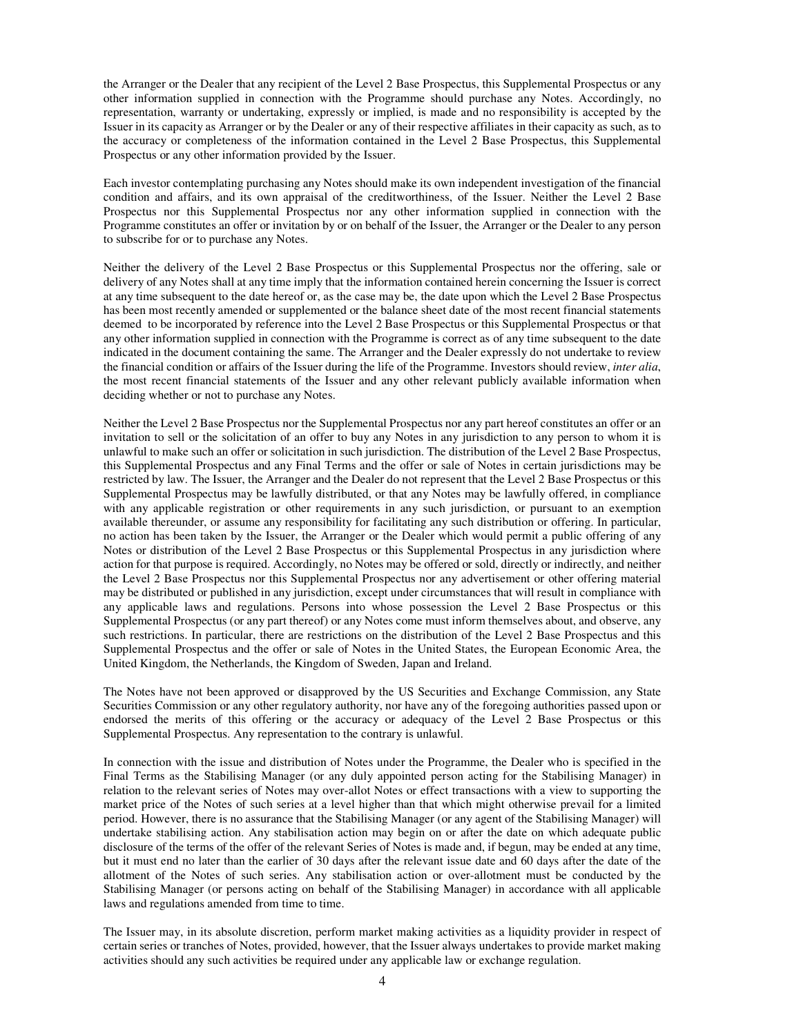the Arranger or the Dealer that any recipient of the Level 2 Base Prospectus, this Supplemental Prospectus or any other information supplied in connection with the Programme should purchase any Notes. Accordingly, no representation, warranty or undertaking, expressly or implied, is made and no responsibility is accepted by the Issuer in its capacity as Arranger or by the Dealer or any of their respective affiliates in their capacity as such, as to the accuracy or completeness of the information contained in the Level 2 Base Prospectus, this Supplemental Prospectus or any other information provided by the Issuer.

Each investor contemplating purchasing any Notes should make its own independent investigation of the financial condition and affairs, and its own appraisal of the creditworthiness, of the Issuer. Neither the Level 2 Base Prospectus nor this Supplemental Prospectus nor any other information supplied in connection with the Programme constitutes an offer or invitation by or on behalf of the Issuer, the Arranger or the Dealer to any person to subscribe for or to purchase any Notes.

Neither the delivery of the Level 2 Base Prospectus or this Supplemental Prospectus nor the offering, sale or delivery of any Notes shall at any time imply that the information contained herein concerning the Issuer is correct at any time subsequent to the date hereof or, as the case may be, the date upon which the Level 2 Base Prospectus has been most recently amended or supplemented or the balance sheet date of the most recent financial statements deemed to be incorporated by reference into the Level 2 Base Prospectus or this Supplemental Prospectus or that any other information supplied in connection with the Programme is correct as of any time subsequent to the date indicated in the document containing the same. The Arranger and the Dealer expressly do not undertake to review the financial condition or affairs of the Issuer during the life of the Programme. Investors should review, *inter alia*, the most recent financial statements of the Issuer and any other relevant publicly available information when deciding whether or not to purchase any Notes.

Neither the Level 2 Base Prospectus nor the Supplemental Prospectus nor any part hereof constitutes an offer or an invitation to sell or the solicitation of an offer to buy any Notes in any jurisdiction to any person to whom it is unlawful to make such an offer or solicitation in such jurisdiction. The distribution of the Level 2 Base Prospectus, this Supplemental Prospectus and any Final Terms and the offer or sale of Notes in certain jurisdictions may be restricted by law. The Issuer, the Arranger and the Dealer do not represent that the Level 2 Base Prospectus or this Supplemental Prospectus may be lawfully distributed, or that any Notes may be lawfully offered, in compliance with any applicable registration or other requirements in any such jurisdiction, or pursuant to an exemption available thereunder, or assume any responsibility for facilitating any such distribution or offering. In particular, no action has been taken by the Issuer, the Arranger or the Dealer which would permit a public offering of any Notes or distribution of the Level 2 Base Prospectus or this Supplemental Prospectus in any jurisdiction where action for that purpose is required. Accordingly, no Notes may be offered or sold, directly or indirectly, and neither the Level 2 Base Prospectus nor this Supplemental Prospectus nor any advertisement or other offering material may be distributed or published in any jurisdiction, except under circumstances that will result in compliance with any applicable laws and regulations. Persons into whose possession the Level 2 Base Prospectus or this Supplemental Prospectus (or any part thereof) or any Notes come must inform themselves about, and observe, any such restrictions. In particular, there are restrictions on the distribution of the Level 2 Base Prospectus and this Supplemental Prospectus and the offer or sale of Notes in the United States, the European Economic Area, the United Kingdom, the Netherlands, the Kingdom of Sweden, Japan and Ireland.

The Notes have not been approved or disapproved by the US Securities and Exchange Commission, any State Securities Commission or any other regulatory authority, nor have any of the foregoing authorities passed upon or endorsed the merits of this offering or the accuracy or adequacy of the Level 2 Base Prospectus or this Supplemental Prospectus. Any representation to the contrary is unlawful.

In connection with the issue and distribution of Notes under the Programme, the Dealer who is specified in the Final Terms as the Stabilising Manager (or any duly appointed person acting for the Stabilising Manager) in relation to the relevant series of Notes may over-allot Notes or effect transactions with a view to supporting the market price of the Notes of such series at a level higher than that which might otherwise prevail for a limited period. However, there is no assurance that the Stabilising Manager (or any agent of the Stabilising Manager) will undertake stabilising action. Any stabilisation action may begin on or after the date on which adequate public disclosure of the terms of the offer of the relevant Series of Notes is made and, if begun, may be ended at any time, but it must end no later than the earlier of 30 days after the relevant issue date and 60 days after the date of the allotment of the Notes of such series. Any stabilisation action or over-allotment must be conducted by the Stabilising Manager (or persons acting on behalf of the Stabilising Manager) in accordance with all applicable laws and regulations amended from time to time.

The Issuer may, in its absolute discretion, perform market making activities as a liquidity provider in respect of certain series or tranches of Notes, provided, however, that the Issuer always undertakes to provide market making activities should any such activities be required under any applicable law or exchange regulation.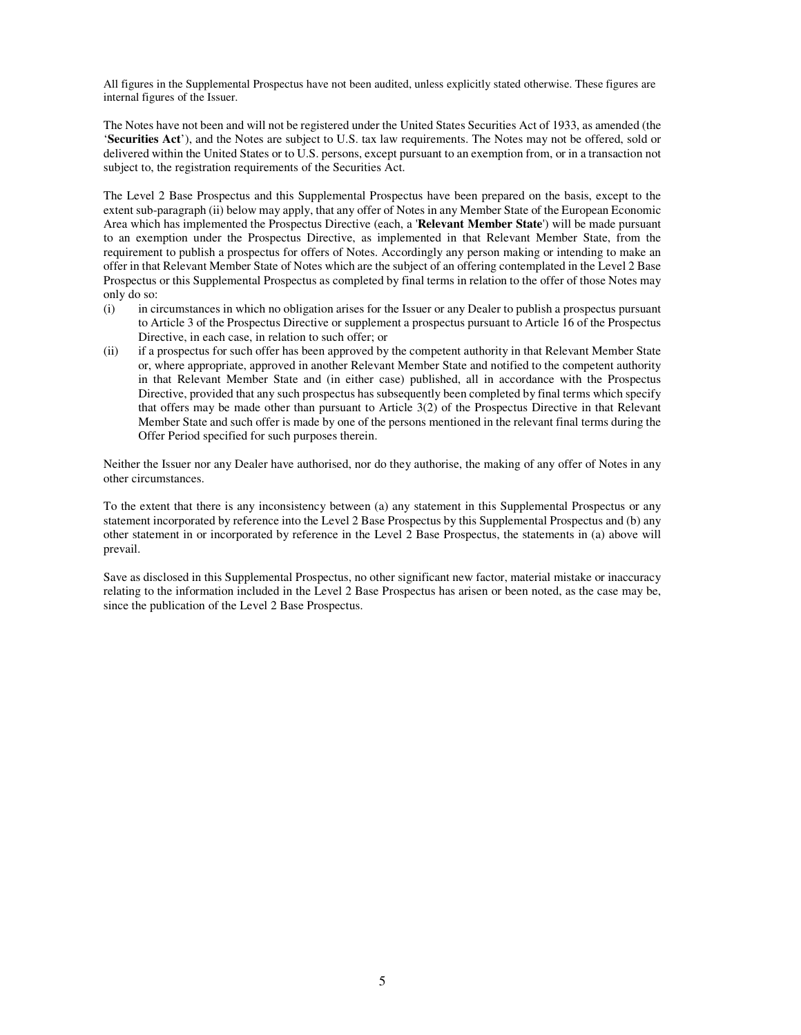All figures in the Supplemental Prospectus have not been audited, unless explicitly stated otherwise. These figures are internal figures of the Issuer.

The Notes have not been and will not be registered under the United States Securities Act of 1933, as amended (the '**Securities Act**'), and the Notes are subject to U.S. tax law requirements. The Notes may not be offered, sold or delivered within the United States or to U.S. persons, except pursuant to an exemption from, or in a transaction not subject to, the registration requirements of the Securities Act.

The Level 2 Base Prospectus and this Supplemental Prospectus have been prepared on the basis, except to the extent sub-paragraph (ii) below may apply, that any offer of Notes in any Member State of the European Economic Area which has implemented the Prospectus Directive (each, a '**Relevant Member State**') will be made pursuant to an exemption under the Prospectus Directive, as implemented in that Relevant Member State, from the requirement to publish a prospectus for offers of Notes. Accordingly any person making or intending to make an offer in that Relevant Member State of Notes which are the subject of an offering contemplated in the Level 2 Base Prospectus or this Supplemental Prospectus as completed by final terms in relation to the offer of those Notes may only do so:

- (i) in circumstances in which no obligation arises for the Issuer or any Dealer to publish a prospectus pursuant to Article 3 of the Prospectus Directive or supplement a prospectus pursuant to Article 16 of the Prospectus Directive, in each case, in relation to such offer; or
- (ii) if a prospectus for such offer has been approved by the competent authority in that Relevant Member State or, where appropriate, approved in another Relevant Member State and notified to the competent authority in that Relevant Member State and (in either case) published, all in accordance with the Prospectus Directive, provided that any such prospectus has subsequently been completed by final terms which specify that offers may be made other than pursuant to Article 3(2) of the Prospectus Directive in that Relevant Member State and such offer is made by one of the persons mentioned in the relevant final terms during the Offer Period specified for such purposes therein.

Neither the Issuer nor any Dealer have authorised, nor do they authorise, the making of any offer of Notes in any other circumstances.

To the extent that there is any inconsistency between (a) any statement in this Supplemental Prospectus or any statement incorporated by reference into the Level 2 Base Prospectus by this Supplemental Prospectus and (b) any other statement in or incorporated by reference in the Level 2 Base Prospectus, the statements in (a) above will prevail.

Save as disclosed in this Supplemental Prospectus, no other significant new factor, material mistake or inaccuracy relating to the information included in the Level 2 Base Prospectus has arisen or been noted, as the case may be, since the publication of the Level 2 Base Prospectus.